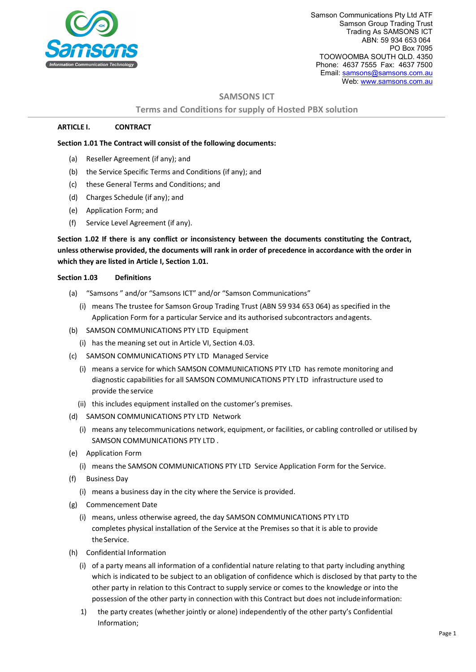

Samson Communications Pty Ltd ATF Samson Group Trading Trust Trading As SAMSONS ICT ABN: 59 934 653 064 PO Box 7095 TOOWOOMBA SOUTH QLD. 4350 Phone: 4637 7555 Fax: 4637 7500 Email[: samsons@samsons.com.au](mailto:samsons@samsons.com.au) Web: [www.samsons.com.au](http://www.samsons.com.au/)

## **SAMSONS ICT**

#### **Terms and Conditions for supply of Hosted PBX solution**

#### **ARTICLE I. CONTRACT**

#### **Section 1.01 The Contract will consist of the following documents:**

- (a) Reseller Agreement (if any); and
- (b) the Service Specific Terms and Conditions (if any); and
- (c) these General Terms and Conditions; and
- (d) Charges Schedule (if any); and
- (e) Application Form; and
- (f) Service Level Agreement (if any).

**Section 1.02 If there is any conflict or inconsistency between the documents constituting the Contract, unless otherwise provided, the documents will rank in order of precedence in accordance with the order in which they are listed in Article I, Section 1.01.**

#### **Section 1.03 Definitions**

- (a) "Samsons " and/or "Samsons ICT" and/or "Samson Communications"
	- (i) means The trustee for Samson Group Trading Trust (ABN 59 934 653 064) as specified in the Application Form for a particular Service and its authorised subcontractors andagents.
- (b) SAMSON COMMUNICATIONS PTY LTD Equipment
	- (i) has the meaning set out in Article VI, Section 4.03.
- (c) SAMSON COMMUNICATIONS PTY LTD Managed Service
	- (i) means a service for which SAMSON COMMUNICATIONS PTY LTD has remote monitoring and diagnostic capabilities for all SAMSON COMMUNICATIONS PTY LTD infrastructure used to provide the service
	- (ii) this includes equipment installed on the customer's premises.
- (d) SAMSON COMMUNICATIONS PTY LTD Network
	- (i) means any telecommunications network, equipment, or facilities, or cabling controlled or utilised by SAMSON COMMUNICATIONS PTY LTD .
- (e) Application Form
	- (i) means the SAMSON COMMUNICATIONS PTY LTD Service Application Form for the Service.
- (f) Business Day
	- (i) means a business day in the city where the Service is provided.
- (g) Commencement Date
	- (i) means, unless otherwise agreed, the day SAMSON COMMUNICATIONS PTY LTD completes physical installation of the Service at the Premises so that it is able to provide theService.
- (h) Confidential Information
	- (i) of a party means all information of a confidential nature relating to that party including anything which is indicated to be subject to an obligation of confidence which is disclosed by that party to the other party in relation to this Contract to supply service or comes to the knowledge or into the possession of the other party in connection with this Contract but does not includeinformation:
	- 1) the party creates (whether jointly or alone) independently of the other party's Confidential Information;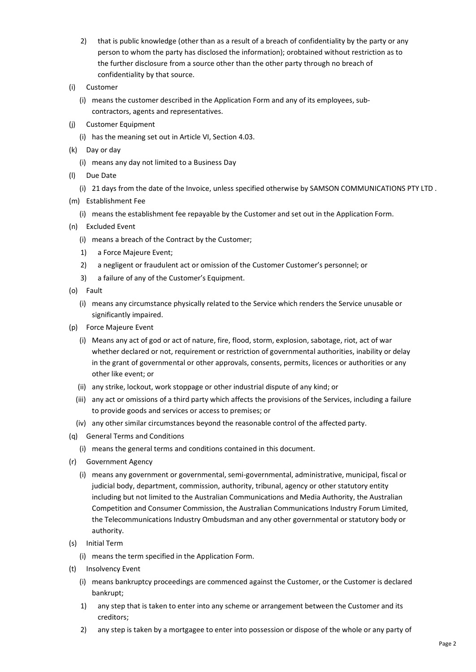- 2) that is public knowledge (other than as a result of a breach of confidentiality by the party or any person to whom the party has disclosed the information); orobtained without restriction as to the further disclosure from a source other than the other party through no breach of confidentiality by that source.
- (i) Customer
	- (i) means the customer described in the Application Form and any of its employees, subcontractors, agents and representatives.
- (j) Customer Equipment
	- (i) has the meaning set out in Article VI, Section 4.03.
- (k) Day or day
	- (i) means any day not limited to a Business Day
- (l) Due Date
	- (i) 21 days from the date of the Invoice, unless specified otherwise by SAMSON COMMUNICATIONS PTY LTD .
- (m) Establishment Fee
	- (i) means the establishment fee repayable by the Customer and set out in the Application Form.
- (n) Excluded Event
	- (i) means a breach of the Contract by the Customer;
	- 1) a Force Majeure Event;
	- 2) a negligent or fraudulent act or omission of the Customer Customer's personnel; or
	- 3) a failure of any of the Customer's Equipment.
- (o) Fault
	- (i) means any circumstance physically related to the Service which renders the Service unusable or significantly impaired.
- (p) Force Majeure Event
	- (i) Means any act of god or act of nature, fire, flood, storm, explosion, sabotage, riot, act of war whether declared or not, requirement or restriction of governmental authorities, inability or delay in the grant of governmental or other approvals, consents, permits, licences or authorities or any other like event; or
	- (ii) any strike, lockout, work stoppage or other industrial dispute of any kind; or
	- (iii) any act or omissions of a third party which affects the provisions of the Services, including a failure to provide goods and services or access to premises; or
	- (iv) any other similar circumstances beyond the reasonable control of the affected party.
- (q) General Terms and Conditions
	- (i) means the general terms and conditions contained in this document.
- (r) Government Agency
	- (i) means any government or governmental, semi-governmental, administrative, municipal, fiscal or judicial body, department, commission, authority, tribunal, agency or other statutory entity including but not limited to the Australian Communications and Media Authority, the Australian Competition and Consumer Commission, the Australian Communications Industry Forum Limited, the Telecommunications Industry Ombudsman and any other governmental or statutory body or authority.
- (s) Initial Term
	- (i) means the term specified in the Application Form.
- (t) Insolvency Event
	- (i) means bankruptcy proceedings are commenced against the Customer, or the Customer is declared bankrupt;
	- 1) any step that is taken to enter into any scheme or arrangement between the Customer and its creditors;
	- 2) any step is taken by a mortgagee to enter into possession or dispose of the whole or any party of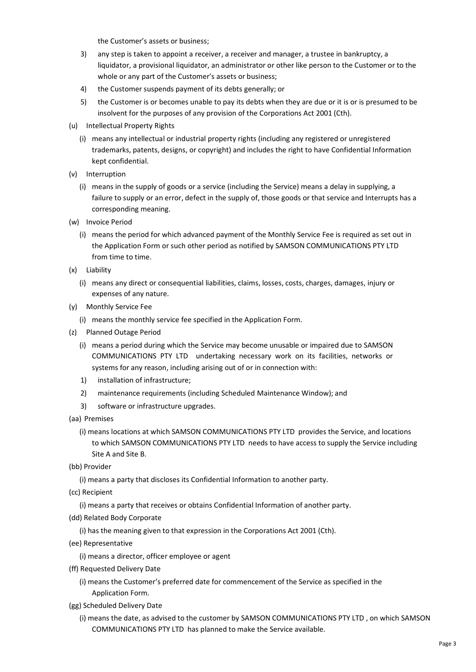the Customer's assets or business;

- 3) any step is taken to appoint a receiver, a receiver and manager, a trustee in bankruptcy, a liquidator, a provisional liquidator, an administrator or other like person to the Customer or to the whole or any part of the Customer's assets or business;
- 4) the Customer suspends payment of its debts generally; or
- 5) the Customer is or becomes unable to pay its debts when they are due or it is or is presumed to be insolvent for the purposes of any provision of the Corporations Act 2001 (Cth).
- (u) Intellectual Property Rights
	- (i) means any intellectual or industrial property rights (including any registered or unregistered trademarks, patents, designs, or copyright) and includes the right to have Confidential Information kept confidential.
- (v) Interruption
	- (i) means in the supply of goods or a service (including the Service) means a delay in supplying, a failure to supply or an error, defect in the supply of, those goods or that service and Interrupts has a corresponding meaning.
- (w) Invoice Period
	- (i) means the period for which advanced payment of the Monthly Service Fee is required as set out in the Application Form or such other period as notified by SAMSON COMMUNICATIONS PTY LTD from time to time.
- (x) Liability
	- (i) means any direct or consequential liabilities, claims, losses, costs, charges, damages, injury or expenses of any nature.
- (y) Monthly Service Fee
	- (i) means the monthly service fee specified in the Application Form.
- (z) Planned Outage Period
	- (i) means a period during which the Service may become unusable or impaired due to SAMSON COMMUNICATIONS PTY LTD undertaking necessary work on its facilities, networks or systems for any reason, including arising out of or in connection with:
	- 1) installation of infrastructure;
	- 2) maintenance requirements (including Scheduled Maintenance Window); and
	- 3) software or infrastructure upgrades.
- (aa) Premises
	- (i) means locations at which SAMSON COMMUNICATIONS PTY LTD provides the Service, and locations to which SAMSON COMMUNICATIONS PTY LTD needs to have access to supply the Service including Site A and Site B.
- (bb) Provider

(i) means a party that discloses its Confidential Information to another party.

- (cc) Recipient
	- (i) means a party that receives or obtains Confidential Information of another party.
- (dd) Related Body Corporate

(i) has the meaning given to that expression in the Corporations Act 2001 (Cth).

- (ee) Representative
	- (i) means a director, officer employee or agent
- (ff) Requested Delivery Date
	- (i) means the Customer's preferred date for commencement of the Service as specified in the Application Form.
- (gg) Scheduled Delivery Date
	- (i) means the date, as advised to the customer by SAMSON COMMUNICATIONS PTY LTD , on which SAMSON COMMUNICATIONS PTY LTD has planned to make the Service available.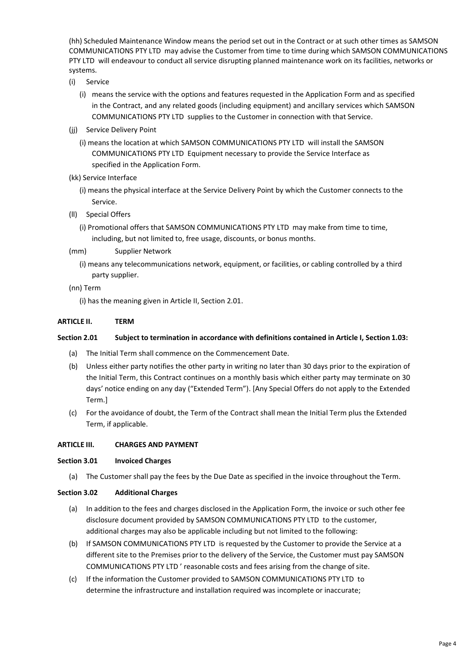(hh) Scheduled Maintenance Window means the period set out in the Contract or at such other times as SAMSON COMMUNICATIONS PTY LTD may advise the Customer from time to time during which SAMSON COMMUNICATIONS PTY LTD will endeavour to conduct all service disrupting planned maintenance work on its facilities, networks or systems.

- (i) Service
	- (i) means the service with the options and features requested in the Application Form and as specified in the Contract, and any related goods (including equipment) and ancillary services which SAMSON COMMUNICATIONS PTY LTD supplies to the Customer in connection with that Service.
- (ii) Service Delivery Point
	- (i) means the location at which SAMSON COMMUNICATIONS PTY LTD will install the SAMSON COMMUNICATIONS PTY LTD Equipment necessary to provide the Service Interface as specified in the Application Form.
- (kk) Service Interface
	- (i) means the physical interface at the Service Delivery Point by which the Customer connects to the Service.
- (ll) Special Offers
	- (i) Promotional offers that SAMSON COMMUNICATIONS PTY LTD may make from time to time, including, but not limited to, free usage, discounts, or bonus months.
- (mm) Supplier Network
	- (i) means any telecommunications network, equipment, or facilities, or cabling controlled by a third party supplier.
- (nn) Term

(i) has the meaning given in Article II, Section 2.01.

# **ARTICLE II. TERM**

## **Section 2.01 Subject to termination in accordance with definitions contained in Article I, Section 1.03:**

- (a) The Initial Term shall commence on the Commencement Date.
- (b) Unless either party notifies the other party in writing no later than 30 days prior to the expiration of the Initial Term, this Contract continues on a monthly basis which either party may terminate on 30 days' notice ending on any day ("Extended Term"). [Any Special Offers do not apply to the Extended Term.]
- (c) For the avoidance of doubt, the Term of the Contract shall mean the Initial Term plus the Extended Term, if applicable.

## **ARTICLE III. CHARGES AND PAYMENT**

## **Section 3.01 Invoiced Charges**

(a) The Customer shall pay the fees by the Due Date as specified in the invoice throughout the Term.

## **Section 3.02 Additional Charges**

- (a) In addition to the fees and charges disclosed in the Application Form, the invoice or such other fee disclosure document provided by SAMSON COMMUNICATIONS PTY LTD to the customer, additional charges may also be applicable including but not limited to the following:
- (b) If SAMSON COMMUNICATIONS PTY LTD is requested by the Customer to provide the Service at a different site to the Premises prior to the delivery of the Service, the Customer must pay SAMSON COMMUNICATIONS PTY LTD ' reasonable costs and fees arising from the change ofsite.
- (c) If the information the Customer provided to SAMSON COMMUNICATIONS PTY LTD to determine the infrastructure and installation required was incomplete or inaccurate;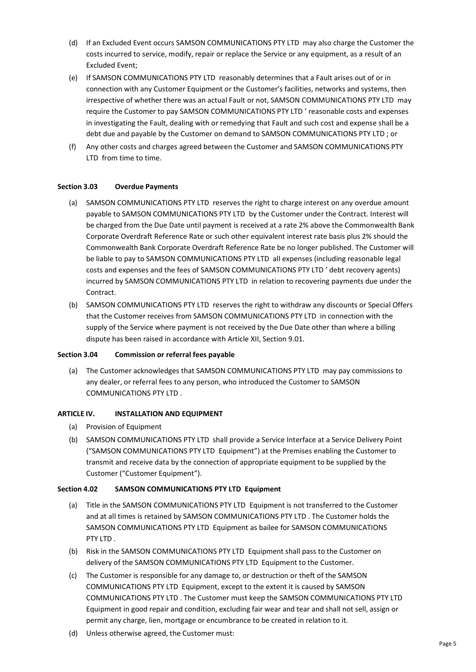- (d) If an Excluded Event occurs SAMSON COMMUNICATIONS PTY LTD may also charge the Customer the costs incurred to service, modify, repair or replace the Service or any equipment, as a result of an Excluded Event;
- (e) If SAMSON COMMUNICATIONS PTY LTD reasonably determines that a Fault arises out of or in connection with any Customer Equipment or the Customer's facilities, networks and systems, then irrespective of whether there was an actual Fault or not, SAMSON COMMUNICATIONS PTY LTD may require the Customer to pay SAMSON COMMUNICATIONS PTY LTD ' reasonable costs and expenses in investigating the Fault, dealing with or remedying that Fault and such cost and expense shall be a debt due and payable by the Customer on demand to SAMSON COMMUNICATIONS PTY LTD ; or
- (f) Any other costs and charges agreed between the Customer and SAMSON COMMUNICATIONS PTY LTD from time to time.

#### **Section 3.03 Overdue Payments**

- (a) SAMSON COMMUNICATIONS PTY LTD reserves the right to charge interest on any overdue amount payable to SAMSON COMMUNICATIONS PTY LTD by the Customer under the Contract. Interest will be charged from the Due Date until payment is received at a rate 2% above the Commonwealth Bank Corporate Overdraft Reference Rate or such other equivalent interest rate basis plus 2% should the Commonwealth Bank Corporate Overdraft Reference Rate be no longer published. The Customer will be liable to pay to SAMSON COMMUNICATIONS PTY LTD all expenses (including reasonable legal costs and expenses and the fees of SAMSON COMMUNICATIONS PTY LTD ' debt recovery agents) incurred by SAMSON COMMUNICATIONS PTY LTD in relation to recovering payments due under the Contract.
- (b) SAMSON COMMUNICATIONS PTY LTD reserves the right to withdraw any discounts or Special Offers that the Customer receives from SAMSON COMMUNICATIONS PTY LTD in connection with the supply of the Service where payment is not received by the Due Date other than where a billing dispute has been raised in accordance with Article XII, Section 9.01.

#### **Section 3.04 Commission or referral fees payable**

(a) The Customer acknowledges that SAMSON COMMUNICATIONS PTY LTD may pay commissions to any dealer, or referral fees to any person, who introduced the Customer to SAMSON COMMUNICATIONS PTY LTD .

#### **ARTICLE IV. INSTALLATION AND EQUIPMENT**

- (a) Provision of Equipment
- (b) SAMSON COMMUNICATIONS PTY LTD shall provide a Service Interface at a Service Delivery Point ("SAMSON COMMUNICATIONS PTY LTD Equipment") at the Premises enabling the Customer to transmit and receive data by the connection of appropriate equipment to be supplied by the Customer ("Customer Equipment").

#### **Section 4.02 SAMSON COMMUNICATIONS PTY LTD Equipment**

- (a) Title in the SAMSON COMMUNICATIONS PTY LTD Equipment is not transferred to the Customer and at all times is retained by SAMSON COMMUNICATIONS PTY LTD . The Customer holds the SAMSON COMMUNICATIONS PTY LTD Equipment as bailee for SAMSON COMMUNICATIONS PTY LTD .
- (b) Risk in the SAMSON COMMUNICATIONS PTY LTD Equipment shall pass to the Customer on delivery of the SAMSON COMMUNICATIONS PTY LTD Equipment to the Customer.
- (c) The Customer is responsible for any damage to, or destruction or theft of the SAMSON COMMUNICATIONS PTY LTD Equipment, except to the extent it is caused by SAMSON COMMUNICATIONS PTY LTD . The Customer must keep the SAMSON COMMUNICATIONS PTY LTD Equipment in good repair and condition, excluding fair wear and tear and shall not sell, assign or permit any charge, lien, mortgage or encumbrance to be created in relation to it.
- (d) Unless otherwise agreed, the Customer must: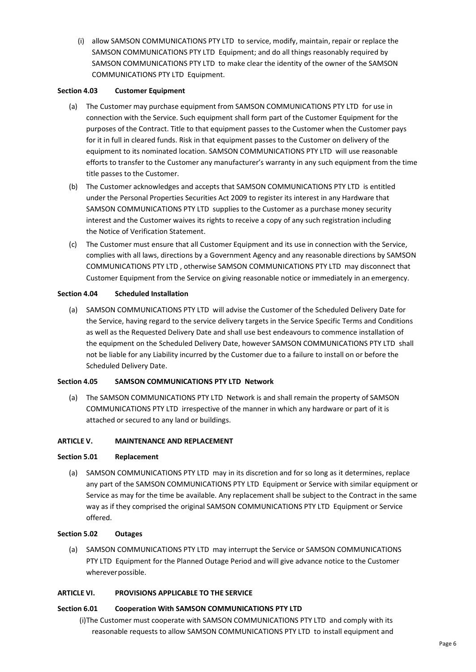(i) allow SAMSON COMMUNICATIONS PTY LTD to service, modify, maintain, repair or replace the SAMSON COMMUNICATIONS PTY LTD Equipment; and do all things reasonably required by SAMSON COMMUNICATIONS PTY LTD to make clear the identity of the owner of the SAMSON COMMUNICATIONS PTY LTD Equipment.

## **Section 4.03 Customer Equipment**

- (a) The Customer may purchase equipment from SAMSON COMMUNICATIONS PTY LTD for use in connection with the Service. Such equipment shall form part of the Customer Equipment for the purposes of the Contract. Title to that equipment passes to the Customer when the Customer pays for it in full in cleared funds. Risk in that equipment passes to the Customer on delivery of the equipment to its nominated location. SAMSON COMMUNICATIONS PTY LTD will use reasonable efforts to transfer to the Customer any manufacturer's warranty in any such equipment from the time title passes to the Customer.
- (b) The Customer acknowledges and accepts that SAMSON COMMUNICATIONS PTY LTD is entitled under the Personal Properties Securities Act 2009 to register its interest in any Hardware that SAMSON COMMUNICATIONS PTY LTD supplies to the Customer as a purchase money security interest and the Customer waives its rights to receive a copy of any such registration including the Notice of Verification Statement.
- (c) The Customer must ensure that all Customer Equipment and its use in connection with the Service, complies with all laws, directions by a Government Agency and any reasonable directions by SAMSON COMMUNICATIONS PTY LTD , otherwise SAMSON COMMUNICATIONS PTY LTD may disconnect that Customer Equipment from the Service on giving reasonable notice or immediately in an emergency.

# **Section 4.04 Scheduled Installation**

(a) SAMSON COMMUNICATIONS PTY LTD will advise the Customer of the Scheduled Delivery Date for the Service, having regard to the service delivery targets in the Service Specific Terms and Conditions as well as the Requested Delivery Date and shall use best endeavours to commence installation of the equipment on the Scheduled Delivery Date, however SAMSON COMMUNICATIONS PTY LTD shall not be liable for any Liability incurred by the Customer due to a failure to install on or before the Scheduled Delivery Date.

## **Section 4.05 SAMSON COMMUNICATIONS PTY LTD Network**

(a) The SAMSON COMMUNICATIONS PTY LTD Network is and shall remain the property of SAMSON COMMUNICATIONS PTY LTD irrespective of the manner in which any hardware or part of it is attached or secured to any land or buildings.

## **ARTICLE V. MAINTENANCE AND REPLACEMENT**

## **Section 5.01 Replacement**

(a) SAMSON COMMUNICATIONS PTY LTD may in its discretion and for so long as it determines, replace any part of the SAMSON COMMUNICATIONS PTY LTD Equipment or Service with similar equipment or Service as may for the time be available. Any replacement shall be subject to the Contract in the same way as if they comprised the original SAMSON COMMUNICATIONS PTY LTD Equipment or Service offered.

## **Section 5.02 Outages**

(a) SAMSON COMMUNICATIONS PTY LTD may interrupt the Service or SAMSON COMMUNICATIONS PTY LTD Equipment for the Planned Outage Period and will give advance notice to the Customer whereverpossible.

## **ARTICLE VI. PROVISIONS APPLICABLE TO THE SERVICE**

## **Section 6.01 Cooperation With SAMSON COMMUNICATIONS PTY LTD**

(i)The Customer must cooperate with SAMSON COMMUNICATIONS PTY LTD and comply with its reasonable requests to allow SAMSON COMMUNICATIONS PTY LTD to install equipment and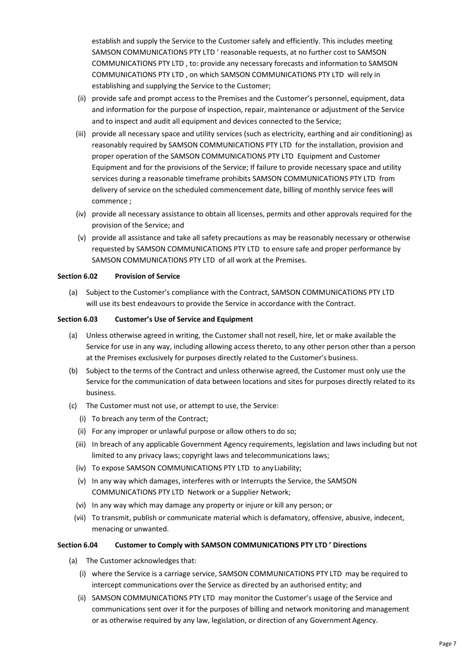establish and supply the Service to the Customer safely and efficiently. This includes meeting SAMSON COMMUNICATIONS PTY LTD ' reasonable requests, at no further cost to SAMSON COMMUNICATIONS PTY LTD , to: provide any necessary forecasts and information to SAMSON COMMUNICATIONS PTY LTD , on which SAMSON COMMUNICATIONS PTY LTD will rely in establishing and supplying the Service to the Customer;

- (ii) provide safe and prompt access to the Premises and the Customer's personnel, equipment, data and information for the purpose of inspection, repair, maintenance or adjustment of the Service and to inspect and audit all equipment and devices connected to the Service;
- (iii) provide all necessary space and utility services (such as electricity, earthing and air conditioning) as reasonably required by SAMSON COMMUNICATIONS PTY LTD for the installation, provision and proper operation of the SAMSON COMMUNICATIONS PTY LTD Equipment and Customer Equipment and for the provisions of the Service; If failure to provide necessary space and utility services during a reasonable timeframe prohibits SAMSON COMMUNICATIONS PTY LTD from delivery of service on the scheduled commencement date, billing of monthly service fees will commence ;
- (iv) provide all necessary assistance to obtain all licenses, permits and other approvals required for the provision of the Service; and
- (v) provide all assistance and take all safety precautions as may be reasonably necessary or otherwise requested by SAMSON COMMUNICATIONS PTY LTD to ensure safe and proper performance by SAMSON COMMUNICATIONS PTY LTD of all work at the Premises.

#### **Section 6.02 Provision of Service**

(a) Subject to the Customer's compliance with the Contract, SAMSON COMMUNICATIONS PTY LTD will use its best endeavours to provide the Service in accordance with the Contract.

#### **Section 6.03 Customer's Use of Service and Equipment**

- (a) Unless otherwise agreed in writing, the Customer shall not resell, hire, let or make available the Service for use in any way, including allowing access thereto, to any other person other than a person at the Premises exclusively for purposes directly related to the Customer's business.
- (b) Subject to the terms of the Contract and unless otherwise agreed, the Customer must only use the Service for the communication of data between locations and sites for purposes directly related to its business.
- (c) The Customer must not use, or attempt to use, the Service:
	- (i) To breach any term of the Contract;
	- (ii) For any improper or unlawful purpose or allow others to do so;
	- (iii) In breach of any applicable Government Agency requirements, legislation and laws including but not limited to any privacy laws; copyright laws and telecommunications laws;
	- (iv) To expose SAMSON COMMUNICATIONS PTY LTD to anyLiability;
	- (v) In any way which damages, interferes with or Interrupts the Service, the SAMSON COMMUNICATIONS PTY LTD Network or a Supplier Network;
	- (vi) In any way which may damage any property or injure or kill any person; or
	- (vii) To transmit, publish or communicate material which is defamatory, offensive, abusive, indecent, menacing or unwanted.

## **Section 6.04 Customer to Comply with SAMSON COMMUNICATIONS PTY LTD ' Directions**

- (a) The Customer acknowledges that:
	- (i) where the Service is a carriage service, SAMSON COMMUNICATIONS PTY LTD may be required to intercept communications over the Service as directed by an authorised entity; and
	- (ii) SAMSON COMMUNICATIONS PTY LTD may monitor the Customer's usage of the Service and communications sent over it for the purposes of billing and network monitoring and management or as otherwise required by any law, legislation, or direction of any Government Agency.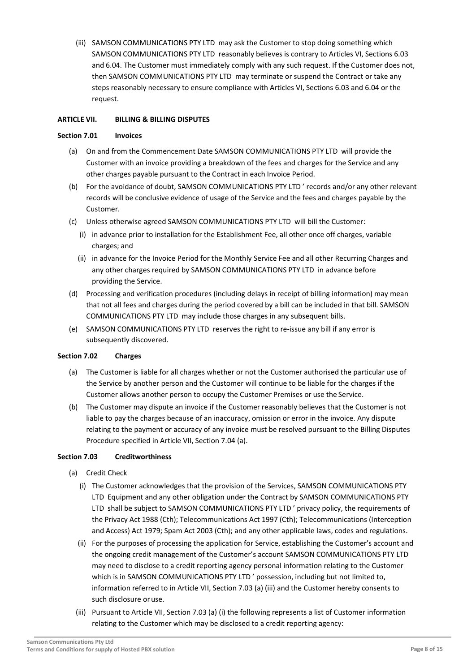(iii) SAMSON COMMUNICATIONS PTY LTD may ask the Customer to stop doing something which SAMSON COMMUNICATIONS PTY LTD reasonably believes is contrary to Articles VI, Sections 6.03 and 6.04. The Customer must immediately comply with any such request. If the Customer does not, then SAMSON COMMUNICATIONS PTY LTD may terminate or suspend the Contract or take any steps reasonably necessary to ensure compliance with Articles VI, Sections 6.03 and 6.04 or the request.

## **ARTICLE VII. BILLING & BILLING DISPUTES**

#### **Section 7.01 Invoices**

- (a) On and from the Commencement Date SAMSON COMMUNICATIONS PTY LTD will provide the Customer with an invoice providing a breakdown of the fees and charges for the Service and any other charges payable pursuant to the Contract in each Invoice Period.
- (b) For the avoidance of doubt, SAMSON COMMUNICATIONS PTY LTD ' records and/or any other relevant records will be conclusive evidence of usage of the Service and the fees and charges payable by the Customer.
- (c) Unless otherwise agreed SAMSON COMMUNICATIONS PTY LTD will bill the Customer:
	- (i) in advance prior to installation for the Establishment Fee, all other once off charges, variable charges; and
	- (ii) in advance for the Invoice Period for the Monthly Service Fee and all other Recurring Charges and any other charges required by SAMSON COMMUNICATIONS PTY LTD in advance before providing the Service.
- (d) Processing and verification procedures (including delays in receipt of billing information) may mean that not all fees and charges during the period covered by a bill can be included in that bill. SAMSON COMMUNICATIONS PTY LTD may include those charges in any subsequent bills.
- (e) SAMSON COMMUNICATIONS PTY LTD reserves the right to re-issue any bill if any error is subsequently discovered.

## **Section 7.02 Charges**

- (a) The Customer is liable for all charges whether or not the Customer authorised the particular use of the Service by another person and the Customer will continue to be liable for the charges if the Customer allows another person to occupy the Customer Premises or use the Service.
- (b) The Customer may dispute an invoice if the Customer reasonably believes that the Customer is not liable to pay the charges because of an inaccuracy, omission or error in the invoice. Any dispute relating to the payment or accuracy of any invoice must be resolved pursuant to the Billing Disputes Procedure specified in Article VII, Section 7.04 (a).

## **Section 7.03 Creditworthiness**

- (a) Credit Check
	- (i) The Customer acknowledges that the provision of the Services, SAMSON COMMUNICATIONS PTY LTD Equipment and any other obligation under the Contract by SAMSON COMMUNICATIONS PTY LTD shall be subject to SAMSON COMMUNICATIONS PTY LTD ' privacy policy, the requirements of the Privacy Act 1988 (Cth); Telecommunications Act 1997 (Cth); Telecommunications (Interception and Access) Act 1979; Spam Act 2003 (Cth); and any other applicable laws, codes and regulations.
	- (ii) For the purposes of processing the application for Service, establishing the Customer's account and the ongoing credit management of the Customer's account SAMSON COMMUNICATIONS PTY LTD may need to disclose to a credit reporting agency personal information relating to the Customer which is in SAMSON COMMUNICATIONS PTY LTD ' possession, including but not limited to, information referred to in Article VII, Section 7.03 (a) (iii) and the Customer hereby consents to such disclosure oruse.
	- (iii) Pursuant to Article VII, Section 7.03 (a) (i) the following represents a list of Customer information relating to the Customer which may be disclosed to a credit reporting agency: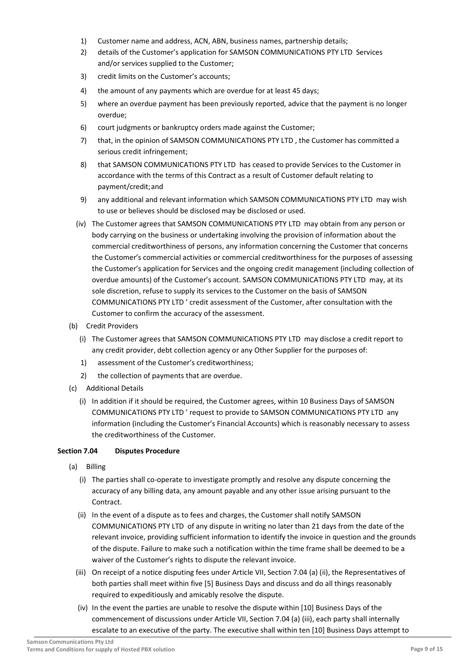- 1) Customer name and address, ACN, ABN, business names, partnership details;
- 2) details of the Customer's application for SAMSON COMMUNICATIONS PTY LTD Services and/or services supplied to the Customer;
- 3) credit limits on the Customer's accounts;
- 4) the amount of any payments which are overdue for at least 45 days;
- 5) where an overdue payment has been previously reported, advice that the payment is no longer overdue;
- 6) court judgments or bankruptcy orders made against the Customer;
- 7) that, in the opinion of SAMSON COMMUNICATIONS PTY LTD , the Customer has committed a serious credit infringement;
- 8) that SAMSON COMMUNICATIONS PTY LTD has ceased to provide Services to the Customer in accordance with the terms of this Contract as a result of Customer default relating to payment/credit;and
- 9) any additional and relevant information which SAMSON COMMUNICATIONS PTY LTD may wish to use or believes should be disclosed may be disclosed or used.
- (iv) The Customer agrees that SAMSON COMMUNICATIONS PTY LTD may obtain from any person or body carrying on the business or undertaking involving the provision of information about the commercial creditworthiness of persons, any information concerning the Customer that concerns the Customer's commercial activities or commercial creditworthiness for the purposes of assessing the Customer's application for Services and the ongoing credit management (including collection of overdue amounts) of the Customer's account. SAMSON COMMUNICATIONS PTY LTD may, at its sole discretion, refuse to supply its services to the Customer on the basis of SAMSON COMMUNICATIONS PTY LTD ' credit assessment of the Customer, after consultation with the Customer to confirm the accuracy of the assessment.
- (b) Credit Providers
	- (i) The Customer agrees that SAMSON COMMUNICATIONS PTY LTD may disclose a credit report to any credit provider, debt collection agency or any Other Supplier for the purposes of:
	- 1) assessment of the Customer's creditworthiness;
	- 2) the collection of payments that are overdue.
- (c) Additional Details
	- (i) In addition if it should be required, the Customer agrees, within 10 Business Days of SAMSON COMMUNICATIONS PTY LTD ' request to provide to SAMSON COMMUNICATIONS PTY LTD any information (including the Customer's Financial Accounts) which is reasonably necessary to assess the creditworthiness of the Customer.

## **Section 7.04 Disputes Procedure**

- (a) Billing
	- (i) The parties shall co-operate to investigate promptly and resolve any dispute concerning the accuracy of any billing data, any amount payable and any other issue arising pursuant to the Contract.
	- (ii) In the event of a dispute as to fees and charges, the Customer shall notify SAMSON COMMUNICATIONS PTY LTD of any dispute in writing no later than 21 days from the date of the relevant invoice, providing sufficient information to identify the invoice in question and the grounds of the dispute. Failure to make such a notification within the time frame shall be deemed to be a waiver of the Customer's rights to dispute the relevant invoice.
	- (iii) On receipt of a notice disputing fees under Article VII, Section 7.04 (a) (ii), the Representatives of both parties shall meet within five [5] Business Days and discuss and do all things reasonably required to expeditiously and amicably resolve the dispute.
	- (iv) In the event the parties are unable to resolve the dispute within [10] Business Days of the commencement of discussions under Article VII, Section 7.04 (a) (iii), each party shall internally escalate to an executive of the party. The executive shall within ten [10] Business Days attempt to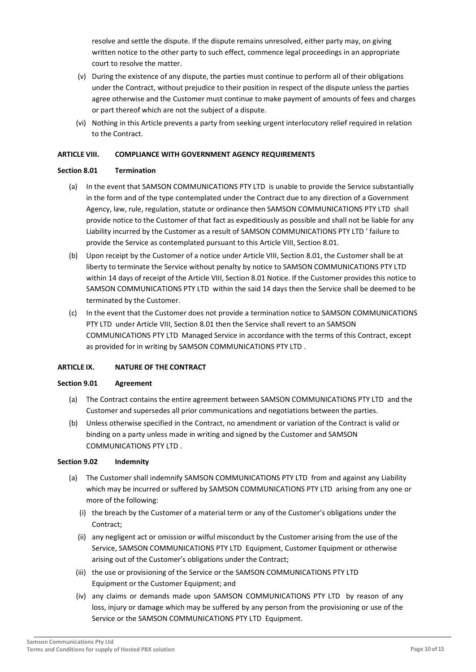resolve and settle the dispute. If the dispute remains unresolved, either party may, on giving written notice to the other party to such effect, commence legal proceedings in an appropriate court to resolve the matter.

- (v) During the existence of any dispute, the parties must continue to perform all of their obligations under the Contract, without prejudice to their position in respect of the dispute unless the parties agree otherwise and the Customer must continue to make payment of amounts of fees and charges or part thereof which are not the subject of a dispute.
- (vi) Nothing in this Article prevents a party from seeking urgent interlocutory relief required in relation to the Contract.

## **ARTICLE VIII. COMPLIANCE WITH GOVERNMENT AGENCY REQUIREMENTS**

#### **Section 8.01 Termination**

- (a) In the event that SAMSON COMMUNICATIONS PTY LTD is unable to provide the Service substantially in the form and of the type contemplated under the Contract due to any direction of a Government Agency, law, rule, regulation, statute or ordinance then SAMSON COMMUNICATIONS PTY LTD shall provide notice to the Customer of that fact as expeditiously as possible and shall not be liable for any Liability incurred by the Customer as a result of SAMSON COMMUNICATIONS PTY LTD ' failure to provide the Service as contemplated pursuant to this Article VIII, Section 8.01.
- (b) Upon receipt by the Customer of a notice under Article VIII, Section 8.01, the Customer shall be at liberty to terminate the Service without penalty by notice to SAMSON COMMUNICATIONS PTY LTD within 14 days of receipt of the Article VIII, Section 8.01 Notice. If the Customer provides this notice to SAMSON COMMUNICATIONS PTY LTD within the said 14 days then the Service shall be deemed to be terminated by the Customer.
- (c) In the event that the Customer does not provide a termination notice to SAMSON COMMUNICATIONS PTY LTD under Article VIII, Section 8.01 then the Service shall revert to an SAMSON COMMUNICATIONS PTY LTD Managed Service in accordance with the terms of this Contract, except as provided for in writing by SAMSON COMMUNICATIONS PTY LTD .

## **ARTICLE IX. NATURE OF THE CONTRACT**

#### **Section 9.01 Agreement**

- (a) The Contract contains the entire agreement between SAMSON COMMUNICATIONS PTY LTD and the Customer and supersedes all prior communications and negotiations between the parties.
- (b) Unless otherwise specified in the Contract, no amendment or variation of the Contract is valid or binding on a party unless made in writing and signed by the Customer and SAMSON COMMUNICATIONS PTY LTD .

#### **Section 9.02 Indemnity**

- (a) The Customer shall indemnify SAMSON COMMUNICATIONS PTY LTD from and against any Liability which may be incurred or suffered by SAMSON COMMUNICATIONS PTY LTD arising from any one or more of the following:
	- (i) the breach by the Customer of a material term or any of the Customer's obligations under the Contract;
	- (ii) any negligent act or omission or wilful misconduct by the Customer arising from the use of the Service, SAMSON COMMUNICATIONS PTY LTD Equipment, Customer Equipment or otherwise arising out of the Customer's obligations under the Contract;
	- (iii) the use or provisioning of the Service or the SAMSON COMMUNICATIONS PTY LTD Equipment or the Customer Equipment; and
	- (iv) any claims or demands made upon SAMSON COMMUNICATIONS PTY LTD by reason of any loss, injury or damage which may be suffered by any person from the provisioning or use of the Service or the SAMSON COMMUNICATIONS PTY LTD Equipment.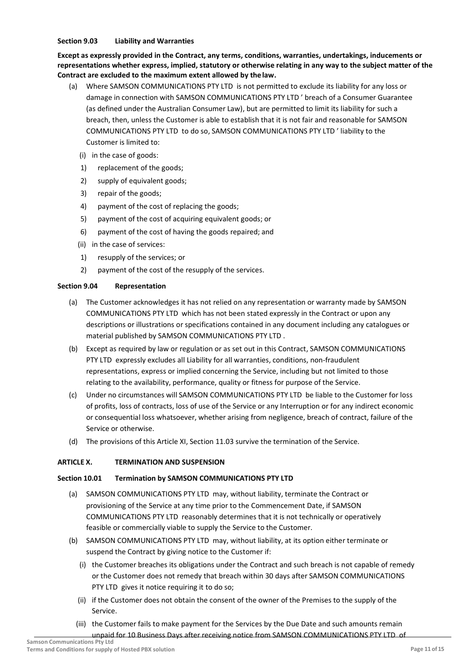#### **Section 9.03 Liability and Warranties**

**Except as expressly provided in the Contract, any terms, conditions, warranties, undertakings, inducements or representations whether express, implied, statutory or otherwise relating in any way to the subject matter of the Contract are excluded to the maximum extent allowed by thelaw.**

- (a) Where SAMSON COMMUNICATIONS PTY LTD is not permitted to exclude its liability for any loss or damage in connection with SAMSON COMMUNICATIONS PTY LTD ' breach of a Consumer Guarantee (as defined under the Australian Consumer Law), but are permitted to limit its liability for such a breach, then, unless the Customer is able to establish that it is not fair and reasonable for SAMSON COMMUNICATIONS PTY LTD to do so, SAMSON COMMUNICATIONS PTY LTD ' liability to the Customer is limited to:
	- (i) in the case of goods:
	- 1) replacement of the goods;
	- 2) supply of equivalent goods:
	- 3) repair of the goods;
	- 4) payment of the cost of replacing the goods;
	- 5) payment of the cost of acquiring equivalent goods; or
	- 6) payment of the cost of having the goods repaired; and
	- (ii) in the case of services:
	- 1) resupply of the services; or
	- 2) payment of the cost of the resupply of the services.

#### **Section 9.04 Representation**

- (a) The Customer acknowledges it has not relied on any representation or warranty made by SAMSON COMMUNICATIONS PTY LTD which has not been stated expressly in the Contract or upon any descriptions or illustrations or specifications contained in any document including any catalogues or material published by SAMSON COMMUNICATIONS PTY LTD .
- (b) Except as required by law or regulation or as set out in this Contract, SAMSON COMMUNICATIONS PTY LTD expressly excludes all Liability for all warranties, conditions, non-fraudulent representations, express or implied concerning the Service, including but not limited to those relating to the availability, performance, quality or fitness for purpose of the Service.
- (c) Under no circumstances will SAMSON COMMUNICATIONS PTY LTD be liable to the Customer for loss of profits, loss of contracts, loss of use of the Service or any Interruption or for any indirect economic or consequential loss whatsoever, whether arising from negligence, breach of contract, failure of the Service or otherwise.
- (d) The provisions of this Article XI, Section 11.03 survive the termination of the Service.

## **ARTICLE X. TERMINATION AND SUSPENSION**

## **Section 10.01 Termination by SAMSON COMMUNICATIONS PTY LTD**

- (a) SAMSON COMMUNICATIONS PTY LTD may, without liability, terminate the Contract or provisioning of the Service at any time prior to the Commencement Date, if SAMSON COMMUNICATIONS PTY LTD reasonably determines that it is not technically or operatively feasible or commercially viable to supply the Service to the Customer.
- (b) SAMSON COMMUNICATIONS PTY LTD may, without liability, at its option either terminate or suspend the Contract by giving notice to the Customer if:
	- (i) the Customer breaches its obligations under the Contract and such breach is not capable of remedy or the Customer does not remedy that breach within 30 days after SAMSON COMMUNICATIONS PTY LTD gives it notice requiring it to do so;
	- (ii) if the Customer does not obtain the consent of the owner of the Premises to the supply of the Service.
	- (iii) the Customer fails to make payment for the Services by the Due Date and such amounts remain unpaid for 10 Business Days after receiving notice from SAMSON COMMUNICATIONS PTY LTD of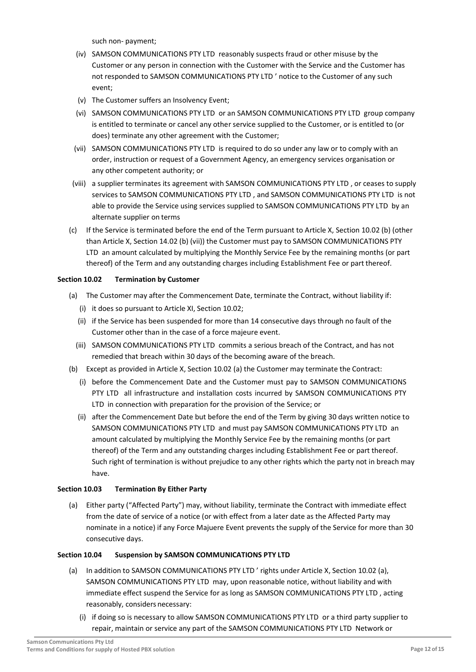such non- payment;

- (iv) SAMSON COMMUNICATIONS PTY LTD reasonably suspects fraud or other misuse by the Customer or any person in connection with the Customer with the Service and the Customer has not responded to SAMSON COMMUNICATIONS PTY LTD ' notice to the Customer of any such event;
- (v) The Customer suffers an Insolvency Event;
- (vi) SAMSON COMMUNICATIONS PTY LTD or an SAMSON COMMUNICATIONS PTY LTD group company is entitled to terminate or cancel any other service supplied to the Customer, or is entitled to (or does) terminate any other agreement with the Customer;
- (vii) SAMSON COMMUNICATIONS PTY LTD is required to do so under any law or to comply with an order, instruction or request of a Government Agency, an emergency services organisation or any other competent authority; or
- (viii) a supplier terminates its agreement with SAMSON COMMUNICATIONS PTY LTD , or ceases to supply services to SAMSON COMMUNICATIONS PTY LTD , and SAMSON COMMUNICATIONS PTY LTD is not able to provide the Service using services supplied to SAMSON COMMUNICATIONS PTY LTD by an alternate supplier on terms
- (c) If the Service is terminated before the end of the Term pursuant to Article X, Section 10.02 (b) (other than Article X, Section 14.02 (b) (vii)) the Customer must pay to SAMSON COMMUNICATIONS PTY LTD an amount calculated by multiplying the Monthly Service Fee by the remaining months (or part thereof) of the Term and any outstanding charges including Establishment Fee or part thereof.

## **Section 10.02 Termination by Customer**

- (a) The Customer may after the Commencement Date, terminate the Contract, without liability if:
	- (i) it does so pursuant to Article XI, Section 10.02;
	- (ii) if the Service has been suspended for more than 14 consecutive days through no fault of the Customer other than in the case of a force majeure event.
	- (iii) SAMSON COMMUNICATIONS PTY LTD commits a serious breach of the Contract, and has not remedied that breach within 30 days of the becoming aware of the breach.
- (b) Except as provided in Article X, Section 10.02 (a) the Customer may terminate the Contract:
	- (i) before the Commencement Date and the Customer must pay to SAMSON COMMUNICATIONS PTY LTD all infrastructure and installation costs incurred by SAMSON COMMUNICATIONS PTY LTD in connection with preparation for the provision of the Service; or
	- (ii) after the Commencement Date but before the end of the Term by giving 30 days written notice to SAMSON COMMUNICATIONS PTY LTD and must pay SAMSON COMMUNICATIONS PTY LTD an amount calculated by multiplying the Monthly Service Fee by the remaining months (or part thereof) of the Term and any outstanding charges including Establishment Fee or part thereof. Such right of termination is without prejudice to any other rights which the party not in breach may have.

## **Section 10.03 Termination By Either Party**

(a) Either party ("Affected Party") may, without liability, terminate the Contract with immediate effect from the date of service of a notice (or with effect from a later date as the Affected Party may nominate in a notice) if any Force Majuere Event prevents the supply of the Service for more than 30 consecutive days.

## **Section 10.04 Suspension by SAMSON COMMUNICATIONS PTY LTD**

- (a) In addition to SAMSON COMMUNICATIONS PTY LTD ' rights under Article X, Section 10.02 (a), SAMSON COMMUNICATIONS PTY LTD may, upon reasonable notice, without liability and with immediate effect suspend the Service for as long as SAMSON COMMUNICATIONS PTY LTD , acting reasonably, considers necessary:
	- (i) if doing so is necessary to allow SAMSON COMMUNICATIONS PTY LTD or a third party supplier to repair, maintain or service any part of the SAMSON COMMUNICATIONS PTY LTD Network or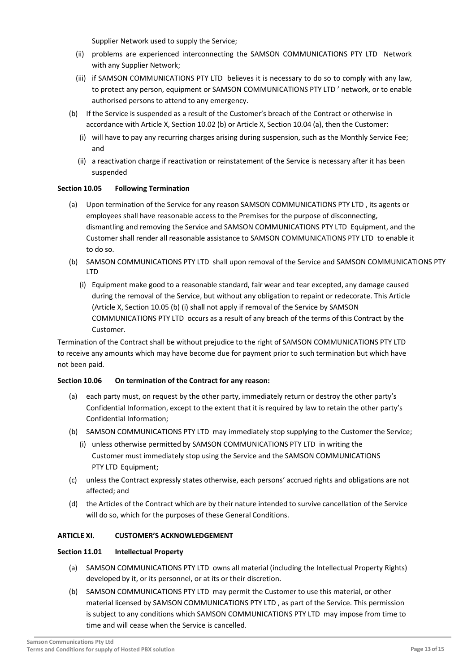Supplier Network used to supply the Service;

- (ii) problems are experienced interconnecting the SAMSON COMMUNICATIONS PTY LTD Network with any Supplier Network;
- (iii) if SAMSON COMMUNICATIONS PTY LTD believes it is necessary to do so to comply with any law, to protect any person, equipment or SAMSON COMMUNICATIONS PTY LTD ' network, or to enable authorised persons to attend to any emergency.
- (b) If the Service is suspended as a result of the Customer's breach of the Contract or otherwise in accordance with Article X, Section 10.02 (b) or Article X, Section 10.04 (a), then the Customer:
	- (i) will have to pay any recurring charges arising during suspension, such as the Monthly Service Fee; and
	- (ii) a reactivation charge if reactivation or reinstatement of the Service is necessary after it has been suspended

## **Section 10.05 Following Termination**

- (a) Upon termination of the Service for any reason SAMSON COMMUNICATIONS PTY LTD , its agents or employees shall have reasonable access to the Premises for the purpose of disconnecting, dismantling and removing the Service and SAMSON COMMUNICATIONS PTY LTD Equipment, and the Customer shall render all reasonable assistance to SAMSON COMMUNICATIONS PTY LTD to enable it to do so.
- (b) SAMSON COMMUNICATIONS PTY LTD shall upon removal of the Service and SAMSON COMMUNICATIONS PTY LTD
	- (i) Equipment make good to a reasonable standard, fair wear and tear excepted, any damage caused during the removal of the Service, but without any obligation to repaint or redecorate. This Article (Article X, Section 10.05 (b) (i) shall not apply if removal of the Service by SAMSON COMMUNICATIONS PTY LTD occurs as a result of any breach of the terms of this Contract by the Customer.

Termination of the Contract shall be without prejudice to the right of SAMSON COMMUNICATIONS PTY LTD to receive any amounts which may have become due for payment prior to such termination but which have not been paid.

## **Section 10.06 On termination of the Contract for any reason:**

- (a) each party must, on request by the other party, immediately return or destroy the other party's Confidential Information, except to the extent that it is required by law to retain the other party's Confidential Information;
- (b) SAMSON COMMUNICATIONS PTY LTD may immediately stop supplying to the Customer the Service;
	- (i) unless otherwise permitted by SAMSON COMMUNICATIONS PTY LTD in writing the Customer must immediately stop using the Service and the SAMSON COMMUNICATIONS PTY LTD Equipment;
- (c) unless the Contract expressly states otherwise, each persons' accrued rights and obligations are not affected; and
- (d) the Articles of the Contract which are by their nature intended to survive cancellation of the Service will do so, which for the purposes of these General Conditions.

## **ARTICLE XI. CUSTOMER'S ACKNOWLEDGEMENT**

#### **Section 11.01 Intellectual Property**

- (a) SAMSON COMMUNICATIONS PTY LTD owns all material (including the Intellectual Property Rights) developed by it, or its personnel, or at its or their discretion.
- (b) SAMSON COMMUNICATIONS PTY LTD may permit the Customer to use this material, or other material licensed by SAMSON COMMUNICATIONS PTY LTD , as part of the Service. This permission is subject to any conditions which SAMSON COMMUNICATIONS PTY LTD may impose from time to time and will cease when the Service is cancelled.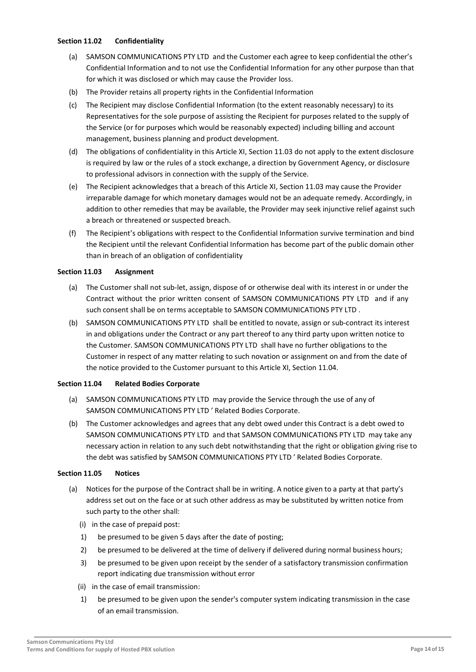#### **Section 11.02 Confidentiality**

- (a) SAMSON COMMUNICATIONS PTY LTD and the Customer each agree to keep confidential the other's Confidential Information and to not use the Confidential Information for any other purpose than that for which it was disclosed or which may cause the Provider loss.
- (b) The Provider retains all property rights in the Confidential Information
- (c) The Recipient may disclose Confidential Information (to the extent reasonably necessary) to its Representatives for the sole purpose of assisting the Recipient for purposes related to the supply of the Service (or for purposes which would be reasonably expected) including billing and account management, business planning and product development.
- (d) The obligations of confidentiality in this Article XI, Section 11.03 do not apply to the extent disclosure is required by law or the rules of a stock exchange, a direction by Government Agency, or disclosure to professional advisors in connection with the supply of the Service.
- (e) The Recipient acknowledges that a breach of this Article XI, Section 11.03 may cause the Provider irreparable damage for which monetary damages would not be an adequate remedy. Accordingly, in addition to other remedies that may be available, the Provider may seek injunctive relief against such a breach or threatened or suspected breach.
- (f) The Recipient's obligations with respect to the Confidential Information survive termination and bind the Recipient until the relevant Confidential Information has become part of the public domain other than in breach of an obligation of confidentiality

#### **Section 11.03 Assignment**

- (a) The Customer shall not sub-let, assign, dispose of or otherwise deal with its interest in or under the Contract without the prior written consent of SAMSON COMMUNICATIONS PTY LTD and if any such consent shall be on terms acceptable to SAMSON COMMUNICATIONS PTY LTD .
- (b) SAMSON COMMUNICATIONS PTY LTD shall be entitled to novate, assign or sub-contract its interest in and obligations under the Contract or any part thereof to any third party upon written notice to the Customer. SAMSON COMMUNICATIONS PTY LTD shall have no further obligations to the Customer in respect of any matter relating to such novation or assignment on and from the date of the notice provided to the Customer pursuant to this Article XI, Section 11.04.

#### **Section 11.04 Related Bodies Corporate**

- (a) SAMSON COMMUNICATIONS PTY LTD may provide the Service through the use of any of SAMSON COMMUNICATIONS PTY LTD ' Related Bodies Corporate.
- (b) The Customer acknowledges and agrees that any debt owed under this Contract is a debt owed to SAMSON COMMUNICATIONS PTY LTD and that SAMSON COMMUNICATIONS PTY LTD may take any necessary action in relation to any such debt notwithstanding that the right or obligation giving rise to the debt was satisfied by SAMSON COMMUNICATIONS PTY LTD ' Related Bodies Corporate.

#### **Section 11.05 Notices**

- (a) Notices for the purpose of the Contract shall be in writing. A notice given to a party at that party's address set out on the face or at such other address as may be substituted by written notice from such party to the other shall:
	- (i) in the case of prepaid post:
	- 1) be presumed to be given 5 days after the date of posting;
	- 2) be presumed to be delivered at the time of delivery if delivered during normal business hours;
	- 3) be presumed to be given upon receipt by the sender of a satisfactory transmission confirmation report indicating due transmission without error
	- (ii) in the case of email transmission:
	- 1) be presumed to be given upon the sender's computer system indicating transmission in the case of an email transmission.